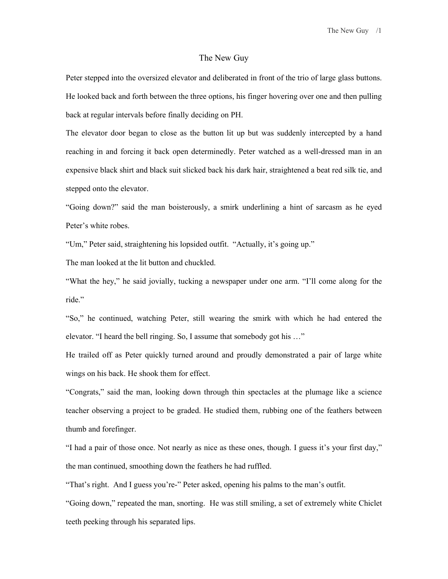The New Guy /1

## The New Guy

Peter stepped into the oversized elevator and deliberated in front of the trio of large glass buttons. He looked back and forth between the three options, his finger hovering over one and then pulling back at regular intervals before finally deciding on PH.

The elevator door began to close as the button lit up but was suddenly intercepted by a hand reaching in and forcing it back open determinedly. Peter watched as a well-dressed man in an expensive black shirt and black suit slicked back his dark hair, straightened a beat red silk tie, and stepped onto the elevator.

"Going down?" said the man boisterously, a smirk underlining a hint of sarcasm as he eyed Peter's white robes.

"Um," Peter said, straightening his lopsided outfit. "Actually, it's going up."

The man looked at the lit button and chuckled.

"What the hey," he said jovially, tucking a newspaper under one arm. "I'll come along for the ride."

"So," he continued, watching Peter, still wearing the smirk with which he had entered the elevator. "I heard the bell ringing. So, I assume that somebody got his …"

He trailed off as Peter quickly turned around and proudly demonstrated a pair of large white wings on his back. He shook them for effect.

"Congrats," said the man, looking down through thin spectacles at the plumage like a science teacher observing a project to be graded. He studied them, rubbing one of the feathers between thumb and forefinger.

"I had a pair of those once. Not nearly as nice as these ones, though. I guess it's your first day," the man continued, smoothing down the feathers he had ruffled.

"That's right. And I guess you're-" Peter asked, opening his palms to the man's outfit.

"Going down," repeated the man, snorting. He was still smiling, a set of extremely white Chiclet teeth peeking through his separated lips.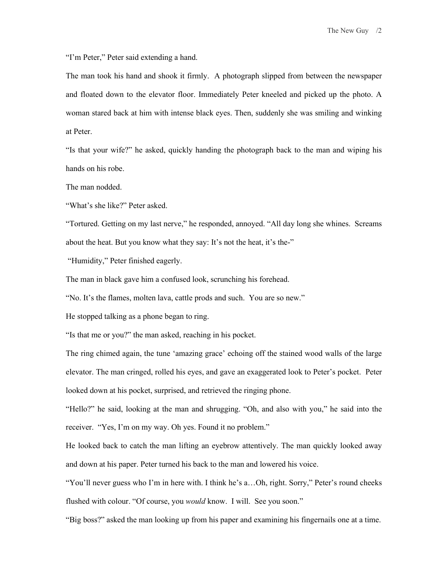"I'm Peter," Peter said extending a hand.

The man took his hand and shook it firmly. A photograph slipped from between the newspaper and floated down to the elevator floor. Immediately Peter kneeled and picked up the photo. A woman stared back at him with intense black eyes. Then, suddenly she was smiling and winking at Peter.

"Is that your wife?" he asked, quickly handing the photograph back to the man and wiping his hands on his robe.

The man nodded.

"What's she like?" Peter asked.

"Tortured. Getting on my last nerve," he responded, annoyed. "All day long she whines. Screams about the heat. But you know what they say: It's not the heat, it's the-"

"Humidity," Peter finished eagerly.

The man in black gave him a confused look, scrunching his forehead.

"No. It's the flames, molten lava, cattle prods and such. You are so new."

He stopped talking as a phone began to ring.

"Is that me or you?" the man asked, reaching in his pocket.

The ring chimed again, the tune 'amazing grace' echoing off the stained wood walls of the large elevator. The man cringed, rolled his eyes, and gave an exaggerated look to Peter's pocket. Peter looked down at his pocket, surprised, and retrieved the ringing phone.

"Hello?" he said, looking at the man and shrugging. "Oh, and also with you," he said into the receiver. "Yes, I'm on my way. Oh yes. Found it no problem."

He looked back to catch the man lifting an eyebrow attentively. The man quickly looked away and down at his paper. Peter turned his back to the man and lowered his voice.

"You'll never guess who I'm in here with. I think he's a…Oh, right. Sorry," Peter's round cheeks flushed with colour. "Of course, you *would* know. I will. See you soon."

"Big boss?" asked the man looking up from his paper and examining his fingernails one at a time.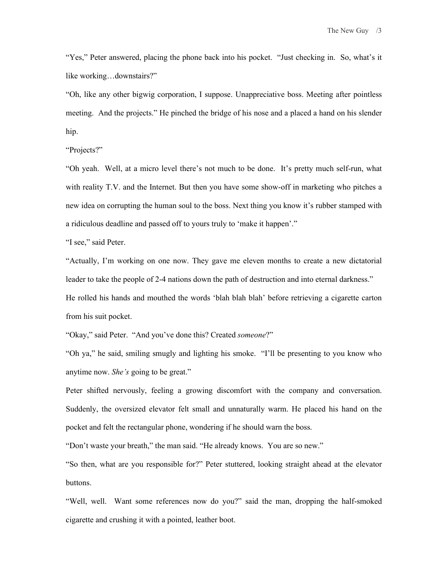"Yes," Peter answered, placing the phone back into his pocket. "Just checking in. So, what's it like working…downstairs?"

"Oh, like any other bigwig corporation, I suppose. Unappreciative boss. Meeting after pointless meeting. And the projects." He pinched the bridge of his nose and a placed a hand on his slender hip.

"Projects?"

"Oh yeah. Well, at a micro level there's not much to be done. It's pretty much self-run, what with reality T.V. and the Internet. But then you have some show-off in marketing who pitches a new idea on corrupting the human soul to the boss. Next thing you know it's rubber stamped with a ridiculous deadline and passed off to yours truly to 'make it happen'."

"I see," said Peter.

"Actually, I'm working on one now. They gave me eleven months to create a new dictatorial leader to take the people of 2-4 nations down the path of destruction and into eternal darkness." He rolled his hands and mouthed the words 'blah blah blah' before retrieving a cigarette carton from his suit pocket.

"Okay," said Peter. "And you've done this? Created *someone*?"

"Oh ya," he said, smiling smugly and lighting his smoke. "I'll be presenting to you know who anytime now. *She's* going to be great."

Peter shifted nervously, feeling a growing discomfort with the company and conversation. Suddenly, the oversized elevator felt small and unnaturally warm. He placed his hand on the pocket and felt the rectangular phone, wondering if he should warn the boss.

"Don't waste your breath," the man said. "He already knows. You are so new."

"So then, what are you responsible for?" Peter stuttered, looking straight ahead at the elevator buttons.

"Well, well. Want some references now do you?" said the man, dropping the half-smoked cigarette and crushing it with a pointed, leather boot.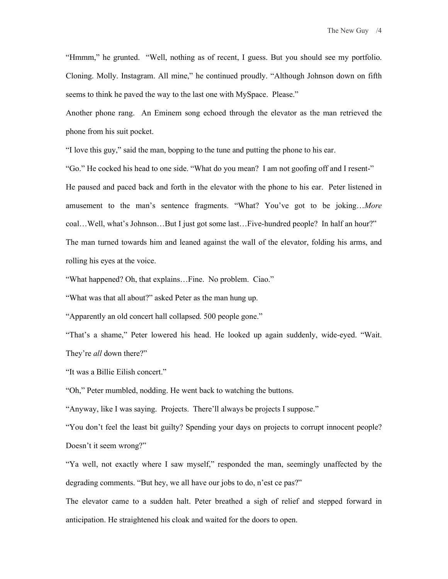"Hmmm," he grunted. "Well, nothing as of recent, I guess. But you should see my portfolio. Cloning. Molly. Instagram. All mine," he continued proudly. "Although Johnson down on fifth seems to think he paved the way to the last one with MySpace. Please."

Another phone rang. An Eminem song echoed through the elevator as the man retrieved the phone from his suit pocket.

"I love this guy," said the man, bopping to the tune and putting the phone to his ear.

"Go." He cocked his head to one side. "What do you mean? I am not goofing off and I resent-" He paused and paced back and forth in the elevator with the phone to his ear. Peter listened in amusement to the man's sentence fragments. "What? You've got to be joking…*More*  coal…Well, what's Johnson…But I just got some last…Five-hundred people? In half an hour?" The man turned towards him and leaned against the wall of the elevator, folding his arms, and rolling his eyes at the voice.

"What happened? Oh, that explains…Fine. No problem. Ciao."

"What was that all about?" asked Peter as the man hung up.

"Apparently an old concert hall collapsed. 500 people gone."

"That's a shame," Peter lowered his head. He looked up again suddenly, wide-eyed. "Wait. They're *all* down there?"

"It was a Billie Eilish concert."

"Oh," Peter mumbled, nodding. He went back to watching the buttons.

"Anyway, like I was saying. Projects. There'll always be projects I suppose."

"You don't feel the least bit guilty? Spending your days on projects to corrupt innocent people? Doesn't it seem wrong?"

"Ya well, not exactly where I saw myself," responded the man, seemingly unaffected by the degrading comments. "But hey, we all have our jobs to do, n'est ce pas?"

The elevator came to a sudden halt. Peter breathed a sigh of relief and stepped forward in anticipation. He straightened his cloak and waited for the doors to open.